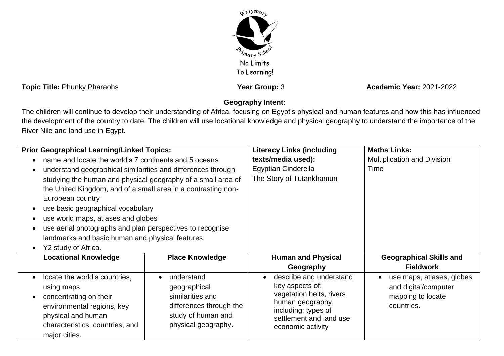

**Topic Title:** Phunky Pharaohs **Year Group:** 3 **Academic Year:** 2021-2022

## **Geography Intent:**

The children will continue to develop their understanding of Africa, focusing on Egypt's physical and human features and how this has influenced the development of the country to date. The children will use locational knowledge and physical geography to understand the importance of the River Nile and land use in Egypt.

| <b>Prior Geographical Learning/Linked Topics:</b>                                                                                                                                                                                                                                                                                                                                                             |                                                                                                                                     | <b>Literacy Links (including</b>                                                                                                                                   | <b>Maths Links:</b>                                                                  |
|---------------------------------------------------------------------------------------------------------------------------------------------------------------------------------------------------------------------------------------------------------------------------------------------------------------------------------------------------------------------------------------------------------------|-------------------------------------------------------------------------------------------------------------------------------------|--------------------------------------------------------------------------------------------------------------------------------------------------------------------|--------------------------------------------------------------------------------------|
| name and locate the world's 7 continents and 5 oceans                                                                                                                                                                                                                                                                                                                                                         |                                                                                                                                     | texts/media used):                                                                                                                                                 | Multiplication and Division                                                          |
| understand geographical similarities and differences through<br>studying the human and physical geography of a small area of<br>the United Kingdom, and of a small area in a contrasting non-<br>European country<br>use basic geographical vocabulary<br>use world maps, atlases and globes<br>use aerial photographs and plan perspectives to recognise<br>landmarks and basic human and physical features. |                                                                                                                                     | Egyptian Cinderella<br>The Story of Tutankhamun                                                                                                                    | Time                                                                                 |
| Y2 study of Africa.                                                                                                                                                                                                                                                                                                                                                                                           |                                                                                                                                     |                                                                                                                                                                    |                                                                                      |
| <b>Locational Knowledge</b>                                                                                                                                                                                                                                                                                                                                                                                   | <b>Place Knowledge</b>                                                                                                              | <b>Human and Physical</b><br>Geography                                                                                                                             | <b>Geographical Skills and</b><br><b>Fieldwork</b>                                   |
| locate the world's countries,<br>using maps.<br>concentrating on their<br>environmental regions, key<br>physical and human<br>characteristics, countries, and<br>major cities.                                                                                                                                                                                                                                | understand<br>$\bullet$<br>geographical<br>similarities and<br>differences through the<br>study of human and<br>physical geography. | describe and understand<br>key aspects of:<br>vegetation belts, rivers<br>human geography,<br>including: types of<br>settlement and land use,<br>economic activity | use maps, atlases, globes<br>and digital/computer<br>mapping to locate<br>countries. |